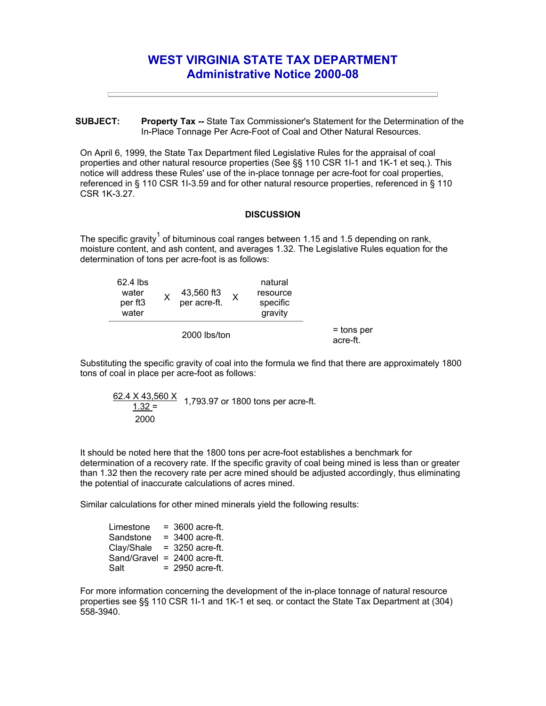## **WEST VIRGINIA STATE TAX DEPARTMENT Administrative Notice 2000-08**

**SUBJECT: Property Tax --** State Tax Commissioner's Statement for the Determination of the In-Place Tonnage Per Acre-Foot of Coal and Other Natural Resources.

On April 6, 1999, the State Tax Department filed Legislative Rules for the appraisal of coal properties and other natural resource properties (See §§ 110 CSR 1I-1 and 1K-1 et seq.). This notice will address these Rules' use of the in-place tonnage per acre-foot for coal properties, referenced in § 110 CSR 1I-3.59 and for other natural resource properties, referenced in § 110 CSR 1K-3.27.

## **DISCUSSION**

The specific gravity<sup>1</sup> of bituminous coal ranges between 1.15 and 1.5 depending on rank, moisture content, and ash content, and averages 1.32. The Legislative Rules equation for the determination of tons per acre-foot is as follows:

| 62.4 lbs<br>water<br>per ft <sub>3</sub><br>water |  | 43,560 ft3<br>per acre-ft. |  | natural<br>resource<br>specific<br>gravity |                        |
|---------------------------------------------------|--|----------------------------|--|--------------------------------------------|------------------------|
| 2000 lbs/ton                                      |  |                            |  |                                            | = tons per<br>acre-ft. |

Substituting the specific gravity of coal into the formula we find that there are approximately 1800 tons of coal in place per acre-foot as follows:

$$
\frac{62.4 \times 43,560 \times}{1.32} = 1,793.97 \text{ or } 1800 \text{ tons per acre-fit.}
$$

It should be noted here that the 1800 tons per acre-foot establishes a benchmark for determination of a recovery rate. If the specific gravity of coal being mined is less than or greater than 1.32 then the recovery rate per acre mined should be adjusted accordingly, thus eliminating the potential of inaccurate calculations of acres mined.

Similar calculations for other mined minerals yield the following results:

| Limestone   | $=$ 3600 acre-ft. |
|-------------|-------------------|
| Sandstone   | $= 3400$ acre-ft. |
| Clay/Shale  | $=$ 3250 acre-ft. |
| Sand/Gravel | $= 2400$ acre-ft. |
| Salt        | $= 2950$ acre-ft. |

For more information concerning the development of the in-place tonnage of natural resource properties see §§ 110 CSR 1I-1 and 1K-1 et seq. or contact the State Tax Department at (304) 558-3940.